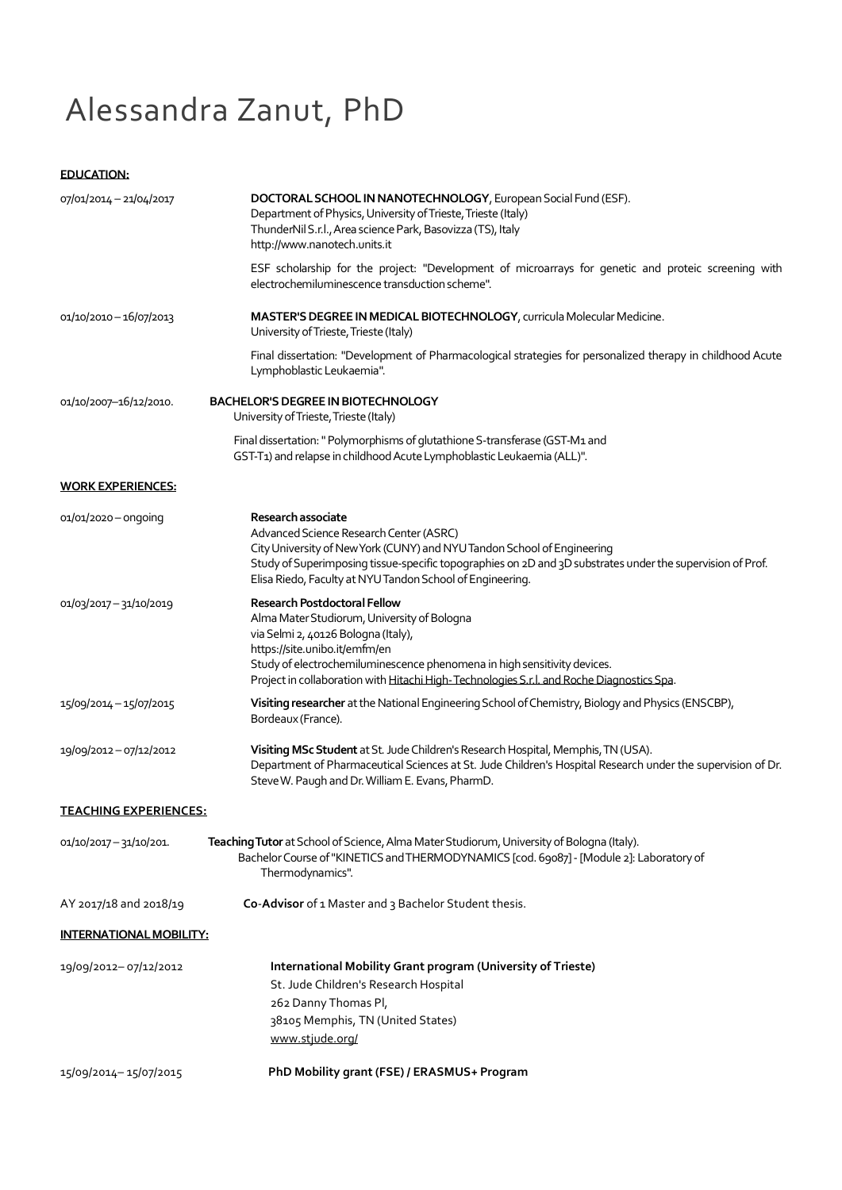# Alessandra Zanut, PhD

## **EDUCATION:**

| 07/01/2014 - 21/04/2017      | DOCTORAL SCHOOL IN NANOTECHNOLOGY, European Social Fund (ESF).<br>Department of Physics, University of Trieste, Trieste (Italy)<br>ThunderNil S.r.l., Area science Park, Basovizza (TS), Italy<br>http://www.nanotech.units.it                                                                                                      |
|------------------------------|-------------------------------------------------------------------------------------------------------------------------------------------------------------------------------------------------------------------------------------------------------------------------------------------------------------------------------------|
|                              | ESF scholarship for the project: "Development of microarrays for genetic and proteic screening with<br>electrochemiluminescence transduction scheme".                                                                                                                                                                               |
| 01/10/2010-16/07/2013        | MASTER'S DEGREE IN MEDICAL BIOTECHNOLOGY, curricula Molecular Medicine.<br>University of Trieste, Trieste (Italy)                                                                                                                                                                                                                   |
|                              | Final dissertation: "Development of Pharmacological strategies for personalized therapy in childhood Acute<br>Lymphoblastic Leukaemia".                                                                                                                                                                                             |
| 01/10/2007-16/12/2010.       | <b>BACHELOR'S DEGREE IN BIOTECHNOLOGY</b><br>University of Trieste, Trieste (Italy)                                                                                                                                                                                                                                                 |
|                              | Final dissertation: " Polymorphisms of glutathione S-transferase (GST-M1 and<br>GST-T1) and relapse in childhood Acute Lymphoblastic Leukaemia (ALL)".                                                                                                                                                                              |
| <b>WORK EXPERIENCES:</b>     |                                                                                                                                                                                                                                                                                                                                     |
| 01/01/2020 - ongoing         | Research associate<br>Advanced Science Research Center (ASRC)<br>City University of New York (CUNY) and NYU Tandon School of Engineering<br>Study of Superimposing tissue-specific topographies on 2D and 3D substrates under the supervision of Prof.<br>Elisa Riedo, Faculty at NYU Tandon School of Engineering.                 |
| 01/03/2017 - 31/10/2019      | <b>Research Postdoctoral Fellow</b><br>Alma Mater Studiorum, University of Bologna<br>via Selmi 2, 40126 Bologna (Italy),<br>https://site.unibo.it/emfm/en<br>Study of electrochemiluminescence phenomena in high sensitivity devices.<br>Project in collaboration with Hitachi High-Technologies S.r.l. and Roche Diagnostics Spa. |
| 15/09/2014 - 15/07/2015      | Visiting researcher at the National Engineering School of Chemistry, Biology and Physics (ENSCBP),<br>Bordeaux (France).                                                                                                                                                                                                            |
| 19/09/2012-07/12/2012        | Visiting MSc Student at St. Jude Children's Research Hospital, Memphis, TN (USA).<br>Department of Pharmaceutical Sciences at St. Jude Children's Hospital Research under the supervision of Dr.<br>Steve W. Paugh and Dr. William E. Evans, PharmD.                                                                                |
| <b>TEACHING EXPERIENCES:</b> |                                                                                                                                                                                                                                                                                                                                     |
| 01/10/2017 - 31/10/201.      | Teaching Tutor at School of Science, Alma Mater Studiorum, University of Bologna (Italy).<br>Bachelor Course of "KINETICS and THERMODYNAMICS [cod. 69087] - [Module 2]: Laboratory of<br>Thermodynamics".                                                                                                                           |
| AY 2017/18 and 2018/19       | Co-Advisor of 1 Master and 3 Bachelor Student thesis.                                                                                                                                                                                                                                                                               |
| INTERNATIONAL MOBILITY:      |                                                                                                                                                                                                                                                                                                                                     |
| 19/09/2012-07/12/2012        | International Mobility Grant program (University of Trieste)<br>St. Jude Children's Research Hospital<br>262 Danny Thomas Pl,<br>38105 Memphis, TN (United States)<br>www.stjude.org/                                                                                                                                               |
| 15/09/2014-15/07/2015        | PhD Mobility grant (FSE) / ERASMUS+ Program                                                                                                                                                                                                                                                                                         |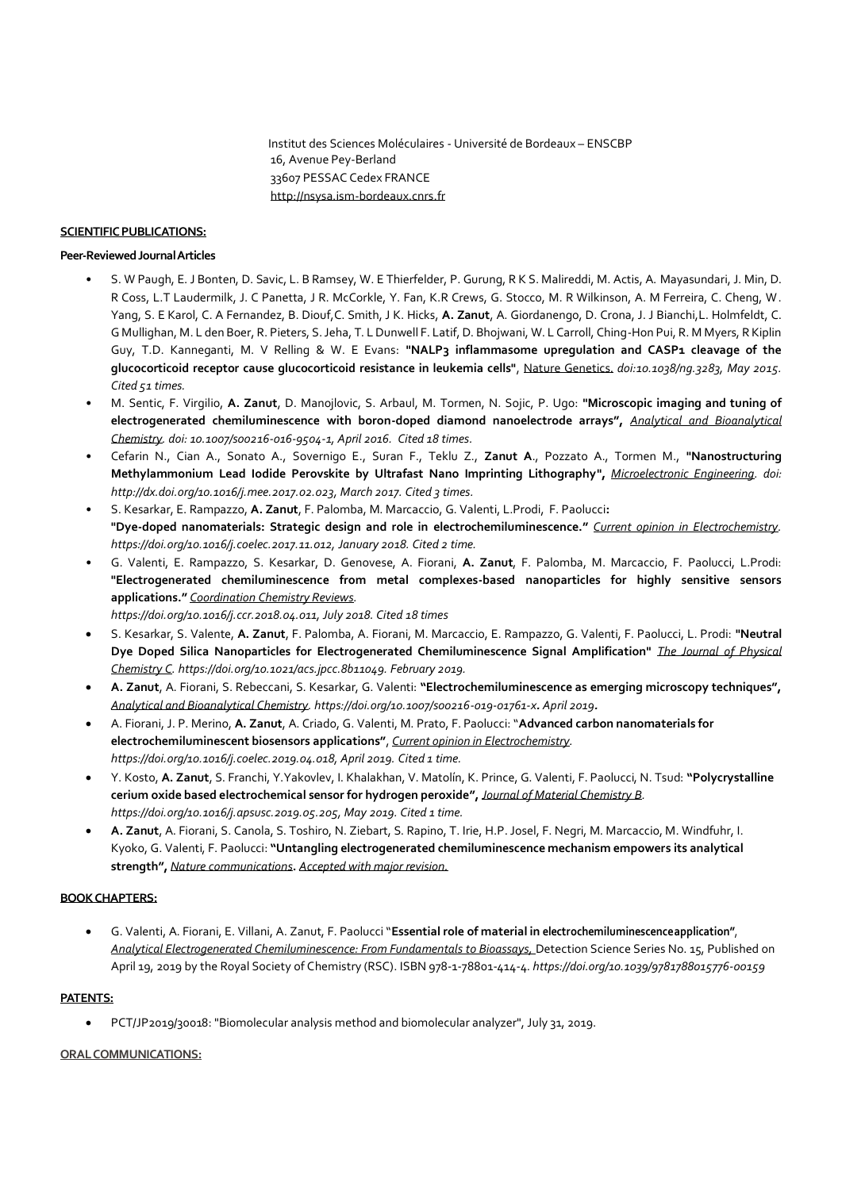#### **SCIENTIFIC PUBLICATIONS:**

#### **Peer-Reviewed Journal Articles**

- S. W Paugh, E. J Bonten, D. Savic, L. B Ramsey, W. E Thierfelder, P. Gurung, R K S. Malireddi, M. Actis, A. Mayasundari, J. Min, D. R Coss, L.T Laudermilk, J. C Panetta, J R. McCorkle, Y. Fan, K.R Crews, G. Stocco, M. R Wilkinson, A. M Ferreira, C. Cheng, W. Yang, S. E Karol, C. A Fernandez, B. Diouf,C. Smith, J K. Hicks, **A. Zanut**, A. Giordanengo, D. Crona, J. J Bianchi,L. Holmfeldt, C. G Mullighan, M. L den Boer, R. Pieters, S. Jeha, T. L Dunwell F. Latif, D. Bhojwani, W. L Carroll, Ching-Hon Pui, R. M Myers, R Kiplin Guy, T.D. Kanneganti, M. V Relling & W. E Evans: **"NALP3 inflammasome upregulation and CASP1 cleavage of the glucocorticoid receptor cause glucocorticoid resistance in leukemia cells"**, Nature Genetics. *doi:10.1038/ng.3283, May 2015. Cited 51 times.*
- M. Sentic, F. Virgilio, **A. Zanut**, D. Manojlovic, S. Arbaul, M. Tormen, N. Sojic, P. Ugo: **"Microscopic imaging and tuning of electrogenerated chemiluminescence with boron-doped diamond nanoelectrode arrays",** *Analytical and Bioanalytical Chemistry. doi: 10.1007/s00216-016-9504-1, April 2016. Cited 18 times.*
- Cefarin N., Cian A., Sonato A., Sovernigo E., Suran F., Teklu Z., **Zanut A**., Pozzato A., Tormen M., **"Nanostructuring Methylammonium Lead Iodide Perovskite by Ultrafast Nano Imprinting Lithography",** *Microelectronic Engineering. doi: [http://dx.doi.org/10.1016/j.mee.2017.02.023,](http://dx.doi.org/10.1016/j.mee.2017.02.023) March 2017. Cited 3 times.*
- S. Kesarkar, E. Rampazzo, **A. Zanut**, F. Palomba, M. Marcaccio, G. Valenti, L.Prodi, F. Paolucci**: "Dye-doped nanomaterials: Strategic design and role in electrochemiluminescence."** *Current opinion in Electrochemistry. https://doi.org/10.1016/j.coelec.2017.11.012, January 2018. Cited 2 time.*
- G. Valenti, E. Rampazzo, S. Kesarkar, D. Genovese, A. Fiorani, **A. Zanut**, F. Palomba, M. Marcaccio, F. Paolucci, L.Prodi: **"Electrogenerated chemiluminescence from metal complexes-based nanoparticles for highly sensitive sensors applications."** *Coordination Chemistry Reviews.*

*https://doi.org/10.1016/j.ccr.2018.04.011, July 2018. Cited 18 times* 

- S. Kesarkar, S. Valente, **A. Zanut**, F. Palomba, A. Fiorani, M. Marcaccio, E. Rampazzo, G. Valenti, F. Paolucci, L. Prodi: **"Neutral Dye Doped Silica Nanoparticles for Electrogenerated Chemiluminescence Signal Amplification"** *The Journal of Physical Chemistry C. https://doi.org/10.1021/acs.jpcc.8b11049. February 2019.*
- **A. Zanut**, A. Fiorani, S. Rebeccani, S. Kesarkar, G. Valenti: **"Electrochemiluminescence as emerging microscopy techniques",**  *Analytical and Bioanalytical Chemistry. https://doi.org/10.1007/s00216-019-01761-x. April 2019.*
- A. Fiorani, J. P. Merino, **A. Zanut**, A. Criado, G. Valenti, M. Prato, F. Paolucci: "**Advanced carbon nanomaterials for electrochemiluminescent biosensors applications"**, *Current opinion in Electrochemistry. https://doi.org/10.1016/j.coelec.2019.04.018, April 2019. Cited 1 time.*
- Y. Kosto, **A. Zanut**, S. Franchi, Y.Yakovlev, I. Khalakhan, V. Matolín, K. Prince, G. Valenti, F. Paolucci, N. Tsud: **"Polycrystalline cerium oxide based electrochemical sensor for hydrogen peroxide",** *Journal of Material Chemistry B. https://doi.org/10.1016/j.apsusc.2019.05.205, May 2019. Cited 1 time.*
- **A. Zanut**, A. Fiorani, S. Canola, S. Toshiro, N. Ziebart, S. Rapino, T. Irie, H.P. Josel, F. Negri, M. Marcaccio, M. Windfuhr, I. Kyoko, G. Valenti, F. Paolucci: **"Untangling electrogenerated chemiluminescence mechanism empowers its analytical strength",** *Nature communications***.** *Accepted with major revision.*

## **BOOK CHAPTERS:**

• G. Valenti, A. Fiorani, E. Villani, A. Zanut, F. Paolucci "**Essential role of material in electrochemiluminescenceapplication"**, *Analytical Electrogenerated Chemiluminescence: From Fundamentals to Bioassays,* Detection Science Series No. 15, Published on April 19, 2019 by the Royal Society of Chemistry (RSC). ISBN 978-1-78801-414-4. *https://doi.org/10.1039/9781788015776-00159*

## **PATENTS:**

• PCT/JP2019/30018: "Biomolecular analysis method and biomolecular analyzer", July 31, 2019.

## **ORAL COMMUNICATIONS:**